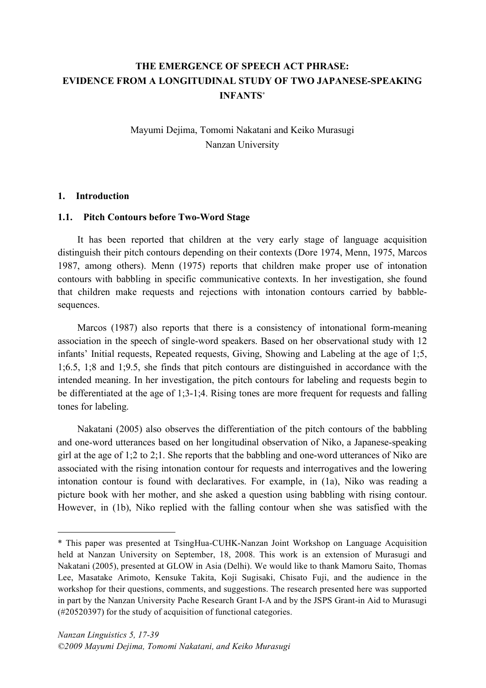# **THE EMERGENCE OF SPEECH ACT PHRASE: EVIDENCE FROM A LONGITUDINAL STUDY OF TWO JAPANESE-SPEAKING INFANTS**<sup>∗</sup>

Mayumi Dejima, Tomomi Nakatani and Keiko Murasugi Nanzan University

#### **1. Introduction**

 $\overline{a}$ 

### **1.1. Pitch Contours before Two-Word Stage**

It has been reported that children at the very early stage of language acquisition distinguish their pitch contours depending on their contexts (Dore 1974, Menn, 1975, Marcos 1987, among others). Menn (1975) reports that children make proper use of intonation contours with babbling in specific communicative contexts. In her investigation, she found that children make requests and rejections with intonation contours carried by babblesequences.

Marcos (1987) also reports that there is a consistency of intonational form-meaning association in the speech of single-word speakers. Based on her observational study with 12 infants' Initial requests, Repeated requests, Giving, Showing and Labeling at the age of 1;5, 1;6.5, 1;8 and 1;9.5, she finds that pitch contours are distinguished in accordance with the intended meaning. In her investigation, the pitch contours for labeling and requests begin to be differentiated at the age of 1;3-1;4. Rising tones are more frequent for requests and falling tones for labeling.

Nakatani (2005) also observes the differentiation of the pitch contours of the babbling and one-word utterances based on her longitudinal observation of Niko, a Japanese-speaking girl at the age of 1;2 to 2;1. She reports that the babbling and one-word utterances of Niko are associated with the rising intonation contour for requests and interrogatives and the lowering intonation contour is found with declaratives. For example, in (1a), Niko was reading a picture book with her mother, and she asked a question using babbling with rising contour. However, in (1b), Niko replied with the falling contour when she was satisfied with the

<sup>\*</sup> This paper was presented at TsingHua-CUHK-Nanzan Joint Workshop on Language Acquisition held at Nanzan University on September, 18, 2008. This work is an extension of Murasugi and Nakatani (2005), presented at GLOW in Asia (Delhi). We would like to thank Mamoru Saito, Thomas Lee, Masatake Arimoto, Kensuke Takita, Koji Sugisaki, Chisato Fuji, and the audience in the workshop for their questions, comments, and suggestions. The research presented here was supported in part by the Nanzan University Pache Research Grant I-A and by the JSPS Grant-in Aid to Murasugi (#20520397) for the study of acquisition of functional categories.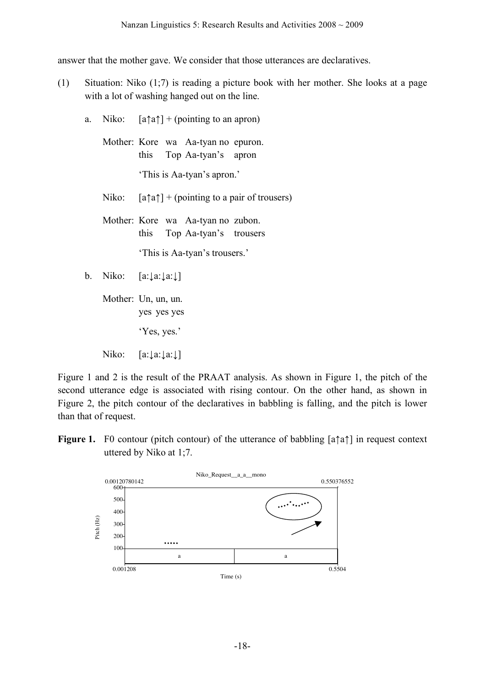answer that the mother gave. We consider that those utterances are declaratives.

- (1) Situation: Niko (1;7) is reading a picture book with her mother. She looks at a page with a lot of washing hanged out on the line.
	- a. Niko:  $[a \uparrow a] + (pointing to an a pron)$ Mother: Kore wa Aa-tyan no epuron. this Top Aa-tyan's apron 'This is Aa-tyan's apron.' Niko:  $[a \uparrow a] + (pointing to a pair of two terms)$ Mother: Kore wa Aa-tyan no zubon. this Top Aa-tyan's trousers 'This is Aa-tyan's trousers.' b. Niko: [a:↓a:↓a:↓] Mother: Un, un, un.

yes yes yes 'Yes, yes.'

Niko: [a:↓a:↓a:↓]

Figure 1 and 2 is the result of the PRAAT analysis. As shown in Figure 1, the pitch of the second utterance edge is associated with rising contour. On the other hand, as shown in Figure 2, the pitch contour of the declaratives in babbling is falling, and the pitch is lower than that of request.

**Figure 1.** F0 contour (pitch contour) of the utterance of babbling [a↑a↑] in request context uttered by Niko at 1;7.

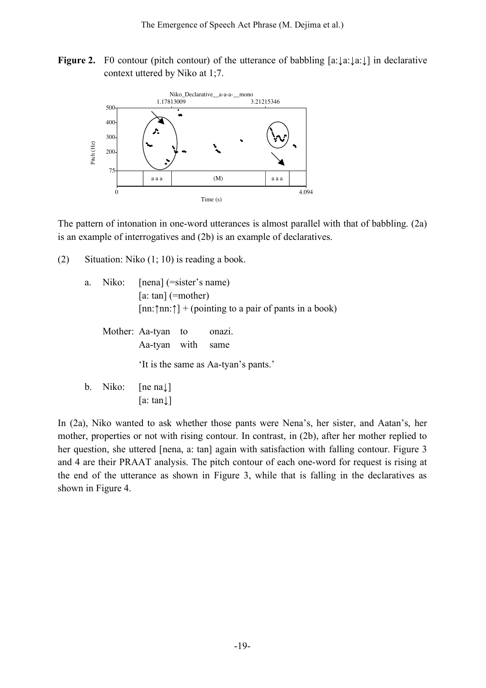**Figure 2.** F0 contour (pitch contour) of the utterance of babbling  $[a: \lfloor a:\rfloor a:\rfloor]$  in declarative context uttered by Niko at 1;7.



The pattern of intonation in one-word utterances is almost parallel with that of babbling. (2a) is an example of interrogatives and (2b) is an example of declaratives.

(2) Situation: Niko (1; 10) is reading a book.

| a. | Niko: [nena] (=sister's name) |                                                                        |        |  |  |
|----|-------------------------------|------------------------------------------------------------------------|--------|--|--|
|    |                               | [a: tan] $(=mother)$                                                   |        |  |  |
|    |                               | $[nn:\uparrow n:n:\uparrow] + (pointing to a pair of pants in a book)$ |        |  |  |
|    |                               | Mother: Aa-tyan to<br>Aa-tyan with<br>same                             | onazi. |  |  |
|    |                               | 'It is the same as Aa-tyan's pants.'                                   |        |  |  |
| b. | Niko: [ne na $\downarrow$ ]   |                                                                        |        |  |  |
|    |                               | a∶ tan↓                                                                |        |  |  |

In (2a), Niko wanted to ask whether those pants were Nena's, her sister, and Aatan's, her mother, properties or not with rising contour. In contrast, in (2b), after her mother replied to her question, she uttered [nena, a: tan] again with satisfaction with falling contour. Figure 3 and 4 are their PRAAT analysis. The pitch contour of each one-word for request is rising at the end of the utterance as shown in Figure 3, while that is falling in the declaratives as shown in Figure 4.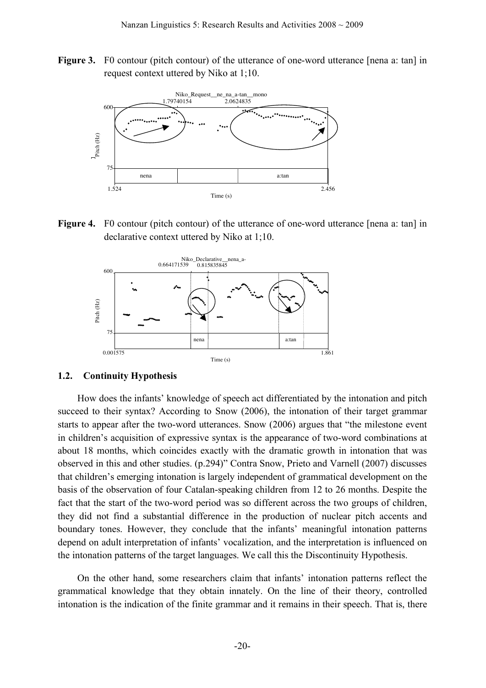**Figure 3.** F0 contour (pitch contour) of the utterance of one-word utterance [nena a: tan] in request context uttered by Niko at 1;10.



**Figure 4.** F0 contour (pitch contour) of the utterance of one-word utterance [nena a: tan] in declarative context uttered by Niko at 1;10.



### **1.2. Continuity Hypothesis**

How does the infants' knowledge of speech act differentiated by the intonation and pitch succeed to their syntax? According to Snow (2006), the intonation of their target grammar starts to appear after the two-word utterances. Snow (2006) argues that "the milestone event in children's acquisition of expressive syntax is the appearance of two-word combinations at about 18 months, which coincides exactly with the dramatic growth in intonation that was observed in this and other studies. (p.294)" Contra Snow, Prieto and Varnell (2007) discusses that children's emerging intonation is largely independent of grammatical development on the basis of the observation of four Catalan-speaking children from 12 to 26 months. Despite the fact that the start of the two-word period was so different across the two groups of children, they did not find a substantial difference in the production of nuclear pitch accents and boundary tones. However, they conclude that the infants' meaningful intonation patterns depend on adult interpretation of infants' vocalization, and the interpretation is influenced on the intonation patterns of the target languages. We call this the Discontinuity Hypothesis.

On the other hand, some researchers claim that infants' intonation patterns reflect the grammatical knowledge that they obtain innately. On the line of their theory, controlled intonation is the indication of the finite grammar and it remains in their speech. That is, there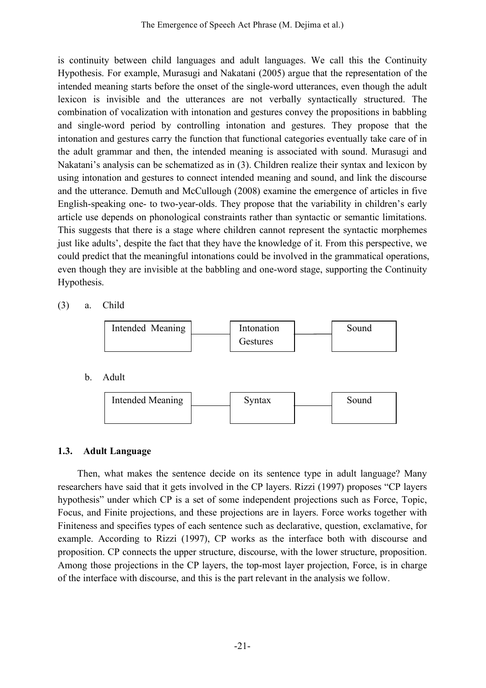is continuity between child languages and adult languages. We call this the Continuity Hypothesis. For example, Murasugi and Nakatani (2005) argue that the representation of the intended meaning starts before the onset of the single-word utterances, even though the adult lexicon is invisible and the utterances are not verbally syntactically structured. The combination of vocalization with intonation and gestures convey the propositions in babbling and single-word period by controlling intonation and gestures. They propose that the intonation and gestures carry the function that functional categories eventually take care of in the adult grammar and then, the intended meaning is associated with sound. Murasugi and Nakatani's analysis can be schematized as in (3). Children realize their syntax and lexicon by using intonation and gestures to connect intended meaning and sound, and link the discourse and the utterance. Demuth and McCullough (2008) examine the emergence of articles in five English-speaking one- to two-year-olds. They propose that the variability in children's early article use depends on phonological constraints rather than syntactic or semantic limitations. This suggests that there is a stage where children cannot represent the syntactic morphemes just like adults', despite the fact that they have the knowledge of it. From this perspective, we could predict that the meaningful intonations could be involved in the grammatical operations, even though they are invisible at the babbling and one-word stage, supporting the Continuity Hypothesis.

(3) a. Child



## **1.3. Adult Language**

Then, what makes the sentence decide on its sentence type in adult language? Many researchers have said that it gets involved in the CP layers. Rizzi (1997) proposes "CP layers hypothesis" under which CP is a set of some independent projections such as Force, Topic, Focus, and Finite projections, and these projections are in layers. Force works together with Finiteness and specifies types of each sentence such as declarative, question, exclamative, for example. According to Rizzi (1997), CP works as the interface both with discourse and proposition. CP connects the upper structure, discourse, with the lower structure, proposition. Among those projections in the CP layers, the top-most layer projection, Force, is in charge of the interface with discourse, and this is the part relevant in the analysis we follow.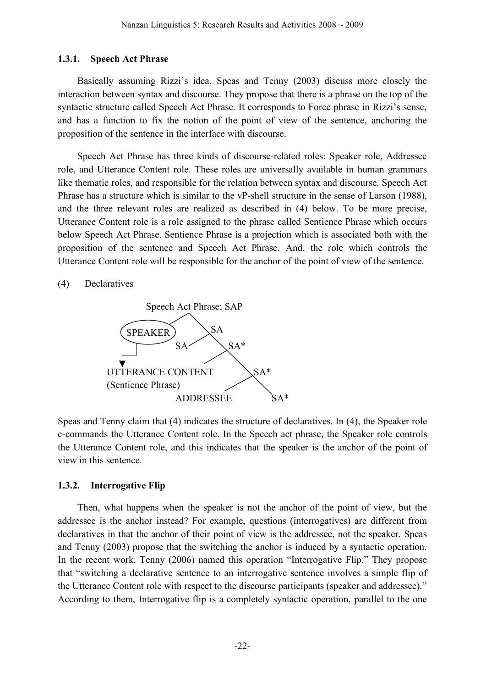### **1.3.1. Speech Act Phrase**

Basically assuming Rizzi's idea, Speas and Tenny (2003) discuss more closely the interaction between syntax and discourse. They propose that there is a phrase on the top of the syntactic structure called Speech Act Phrase. It corresponds to Force phrase in Rizzi's sense, and has a function to fix the notion of the point of view of the sentence, anchoring the proposition of the sentence in the interface with discourse.

Speech Act Phrase has three kinds of discourse-related roles: Speaker role, Addressee role, and Utterance Content role. These roles are universally available in human grammars like thematic roles, and responsible for the relation between syntax and discourse. Speech Act Phrase has a structure which is similar to the vP-shell structure in the sense of Larson (1988), and the three relevant roles are realized as described in (4) below. To be more precise, Utterance Content role is a role assigned to the phrase called Sentience Phrase which occurs below Speech Act Phrase. Sentience Phrase is a projection which is associated both with the proposition of the sentence and Speech Act Phrase. And, the role which controls the Utterance Content role will be responsible for the anchor of the point of view of the sentence.

(4) Declaratives



Speas and Tenny claim that (4) indicates the structure of declaratives. In (4), the Speaker role c-commands the Utterance Content role. In the Speech act phrase, the Speaker role controls the Utterance Content role, and this indicates that the speaker is the anchor of the point of view in this sentence.

## **1.3.2. Interrogative Flip**

Then, what happens when the speaker is not the anchor of the point of view, but the addressee is the anchor instead? For example, questions (interrogatives) are different from declaratives in that the anchor of their point of view is the addressee, not the speaker. Speas and Tenny (2003) propose that the switching the anchor is induced by a syntactic operation. In the recent work, Tenny (2006) named this operation "Interrogative Flip." They propose that "switching a declarative sentence to an interrogative sentence involves a simple flip of the Utterance Content role with respect to the discourse participants (speaker and addressee)." According to them, Interrogative flip is a completely syntactic operation, parallel to the one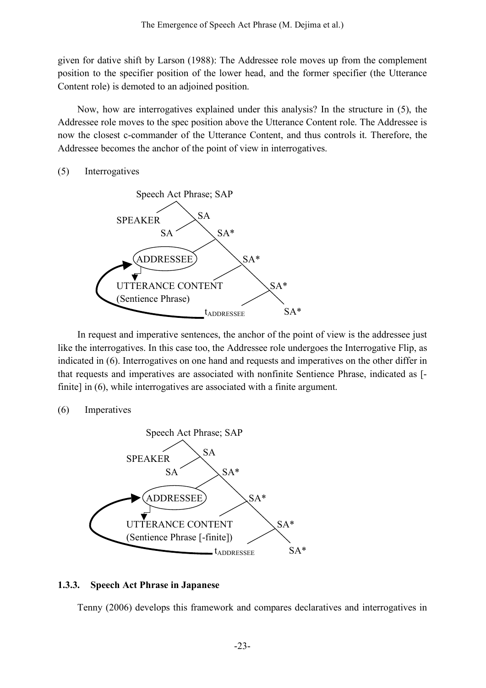given for dative shift by Larson (1988): The Addressee role moves up from the complement position to the specifier position of the lower head, and the former specifier (the Utterance Content role) is demoted to an adjoined position.

Now, how are interrogatives explained under this analysis? In the structure in (5), the Addressee role moves to the spec position above the Utterance Content role. The Addressee is now the closest c-commander of the Utterance Content, and thus controls it. Therefore, the Addressee becomes the anchor of the point of view in interrogatives.

### (5) Interrogatives



In request and imperative sentences, the anchor of the point of view is the addressee just like the interrogatives. In this case too, the Addressee role undergoes the Interrogative Flip, as indicated in (6). Interrogatives on one hand and requests and imperatives on the other differ in that requests and imperatives are associated with nonfinite Sentience Phrase, indicated as [ finite] in (6), while interrogatives are associated with a finite argument.

### (6) Imperatives



## **1.3.3. Speech Act Phrase in Japanese**

Tenny (2006) develops this framework and compares declaratives and interrogatives in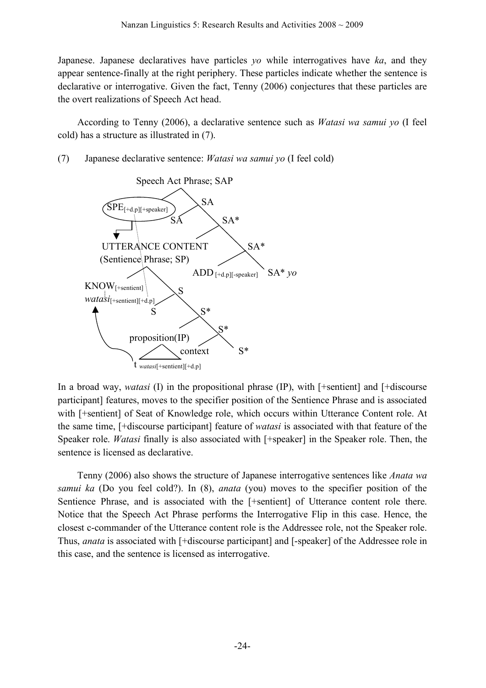Japanese. Japanese declaratives have particles *yo* while interrogatives have *ka*, and they appear sentence-finally at the right periphery. These particles indicate whether the sentence is declarative or interrogative. Given the fact, Tenny (2006) conjectures that these particles are the overt realizations of Speech Act head.

According to Tenny (2006), a declarative sentence such as *Watasi wa samui yo* (I feel cold) has a structure as illustrated in (7).

(7) Japanese declarative sentence: *Watasi wa samui yo* (I feel cold)



In a broad way, *watasi* (I) in the propositional phrase (IP), with [+sentient] and [+discourse participant] features, moves to the specifier position of the Sentience Phrase and is associated with [+sentient] of Seat of Knowledge role, which occurs within Utterance Content role. At the same time, [+discourse participant] feature of *watasi* is associated with that feature of the Speaker role. *Watasi* finally is also associated with [+speaker] in the Speaker role. Then, the sentence is licensed as declarative.

Tenny (2006) also shows the structure of Japanese interrogative sentences like *Anata wa samui ka* (Do you feel cold?). In (8), *anata* (you) moves to the specifier position of the Sentience Phrase, and is associated with the [+sentient] of Utterance content role there. Notice that the Speech Act Phrase performs the Interrogative Flip in this case. Hence, the closest c-commander of the Utterance content role is the Addressee role, not the Speaker role. Thus, *anata* is associated with [+discourse participant] and [-speaker] of the Addressee role in this case, and the sentence is licensed as interrogative.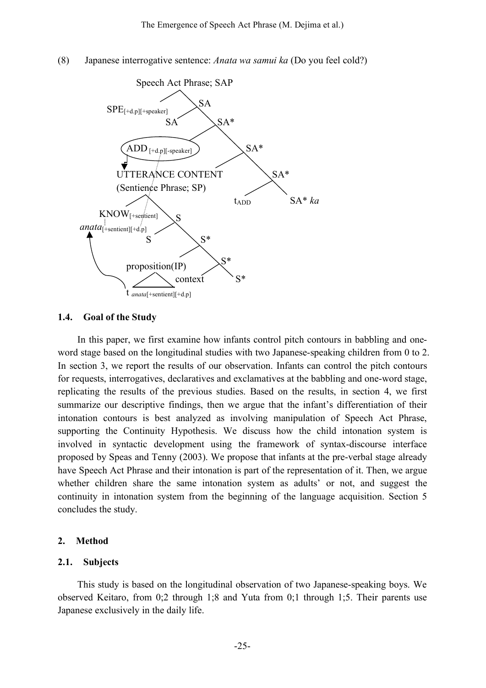(8) Japanese interrogative sentence: *Anata wa samui ka* (Do you feel cold?)



### **1.4. Goal of the Study**

In this paper, we first examine how infants control pitch contours in babbling and oneword stage based on the longitudinal studies with two Japanese-speaking children from 0 to 2. In section 3, we report the results of our observation. Infants can control the pitch contours for requests, interrogatives, declaratives and exclamatives at the babbling and one-word stage, replicating the results of the previous studies. Based on the results, in section 4, we first summarize our descriptive findings, then we argue that the infant's differentiation of their intonation contours is best analyzed as involving manipulation of Speech Act Phrase, supporting the Continuity Hypothesis. We discuss how the child intonation system is involved in syntactic development using the framework of syntax-discourse interface proposed by Speas and Tenny (2003). We propose that infants at the pre-verbal stage already have Speech Act Phrase and their intonation is part of the representation of it. Then, we argue whether children share the same intonation system as adults' or not, and suggest the continuity in intonation system from the beginning of the language acquisition. Section 5 concludes the study.

#### **2. Method**

#### **2.1. Subjects**

This study is based on the longitudinal observation of two Japanese-speaking boys. We observed Keitaro, from 0;2 through 1;8 and Yuta from 0;1 through 1;5. Their parents use Japanese exclusively in the daily life.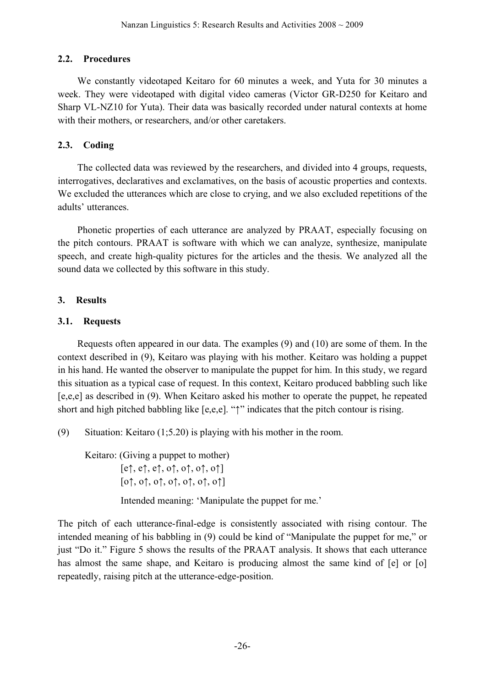# **2.2. Procedures**

We constantly videotaped Keitaro for 60 minutes a week, and Yuta for 30 minutes a week. They were videotaped with digital video cameras (Victor GR-D250 for Keitaro and Sharp VL-NZ10 for Yuta). Their data was basically recorded under natural contexts at home with their mothers, or researchers, and/or other caretakers.

# **2.3. Coding**

The collected data was reviewed by the researchers, and divided into 4 groups, requests, interrogatives, declaratives and exclamatives, on the basis of acoustic properties and contexts. We excluded the utterances which are close to crying, and we also excluded repetitions of the adults' utterances.

Phonetic properties of each utterance are analyzed by PRAAT, especially focusing on the pitch contours. PRAAT is software with which we can analyze, synthesize, manipulate speech, and create high-quality pictures for the articles and the thesis. We analyzed all the sound data we collected by this software in this study.

# **3. Results**

# **3.1. Requests**

Requests often appeared in our data. The examples (9) and (10) are some of them. In the context described in (9), Keitaro was playing with his mother. Keitaro was holding a puppet in his hand. He wanted the observer to manipulate the puppet for him. In this study, we regard this situation as a typical case of request. In this context, Keitaro produced babbling such like [e,e,e] as described in (9). When Keitaro asked his mother to operate the puppet, he repeated short and high pitched babbling like [e,e,e]. "↑" indicates that the pitch contour is rising.

(9) Situation: Keitaro (1;5.20) is playing with his mother in the room.

Keitaro: (Giving a puppet to mother)  $[e\uparrow, e\uparrow, e\uparrow, o\uparrow, o\uparrow, o\uparrow, o\uparrow]$  $[0\uparrow, 0\uparrow, 0\uparrow, 0\uparrow, 0\uparrow, 0\uparrow, 0\uparrow]$ 

Intended meaning: 'Manipulate the puppet for me.'

The pitch of each utterance-final-edge is consistently associated with rising contour. The intended meaning of his babbling in (9) could be kind of "Manipulate the puppet for me," or just "Do it." Figure 5 shows the results of the PRAAT analysis. It shows that each utterance has almost the same shape, and Keitaro is producing almost the same kind of [e] or [o] repeatedly, raising pitch at the utterance-edge-position.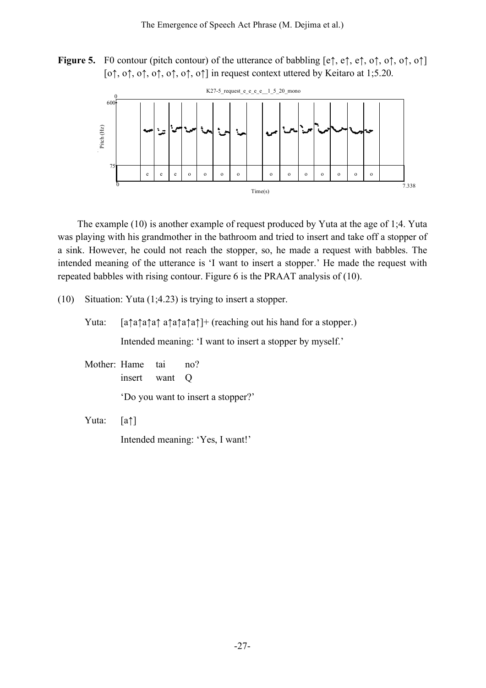**Figure 5.** F0 contour (pitch contour) of the utterance of babbling [e↑, e↑, e↑, o↑, o↑, o↑, o↑] [o $\uparrow$ , o $\uparrow$ , o $\uparrow$ , o $\uparrow$ , o $\uparrow$ , o $\uparrow$ ] in request context uttered by Keitaro at 1;5.20.



The example (10) is another example of request produced by Yuta at the age of 1;4. Yuta was playing with his grandmother in the bathroom and tried to insert and take off a stopper of a sink. However, he could not reach the stopper, so, he made a request with babbles. The intended meaning of the utterance is 'I want to insert a stopper.' He made the request with repeated babbles with rising contour. Figure 6 is the PRAAT analysis of (10).

(10) Situation: Yuta (1;4.23) is trying to insert a stopper.

Yuta: [a↑a↑a↑a↑ a↑a↑a↑a↑]+ (reaching out his hand for a stopper.) Intended meaning: 'I want to insert a stopper by myself.'

Mother: Hame tai no? insert want Q

'Do you want to insert a stopper?'

Yuta: [a↑]

Intended meaning: 'Yes, I want!'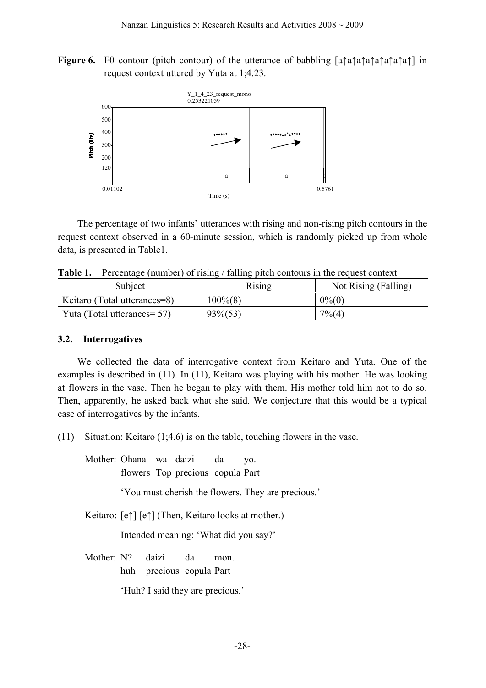**Figure 6.** F0 contour (pitch contour) of the utterance of babbling [a↑a↑a↑a↑a↑a↑a↑a↑] in request context uttered by Yuta at 1;4.23.



The percentage of two infants' utterances with rising and non-rising pitch contours in the request context observed in a 60-minute session, which is randomly picked up from whole data, is presented in Table1.

**Table 1.** Percentage (number) of rising / falling pitch contours in the request context

| Subject                      | Rising      | Not Rising (Falling) |  |
|------------------------------|-------------|----------------------|--|
| Keitaro (Total utterances=8) | $100\%$ (8) | $0\%$ (0)            |  |
| Yuta (Total utterances = 57) | $93\%(53)$  | $7\% (4)$            |  |

### **3.2. Interrogatives**

We collected the data of interrogative context from Keitaro and Yuta. One of the examples is described in (11). In (11), Keitaro was playing with his mother. He was looking at flowers in the vase. Then he began to play with them. His mother told him not to do so. Then, apparently, he asked back what she said. We conjecture that this would be a typical case of interrogatives by the infants.

(11) Situation: Keitaro (1;4.6) is on the table, touching flowers in the vase.

Mother: Ohana wa daizi da yo. flowers Top precious copula Part

'You must cherish the flowers. They are precious.'

Keitaro: [e↑] [e↑] (Then, Keitaro looks at mother.)

Intended meaning: 'What did you say?'

Mother: N? daizi da mon. huh precious copula Part

'Huh? I said they are precious.'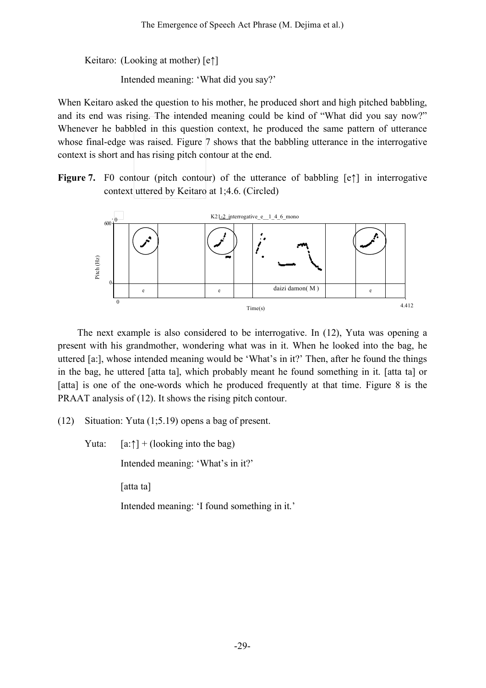Keitaro: (Looking at mother) [e↑]

Intended meaning: 'What did you say?'

When Keitaro asked the question to his mother, he produced short and high pitched babbling, and its end was rising. The intended meaning could be kind of "What did you say now?" Whenever he babbled in this question context, he produced the same pattern of utterance whose final-edge was raised. Figure 7 shows that the babbling utterance in the interrogative context is short and has rising pitch contour at the end.

**Figure 7.** F0 contour (pitch contour) of the utterance of babbling [e↑] in interrogative context uttered by Keitaro at 1;4.6. (Circled)



The next example is also considered to be interrogative. In (12), Yuta was opening a present with his grandmother, wondering what was in it. When he looked into the bag, he uttered [a:], whose intended meaning would be 'What's in it?' Then, after he found the things in the bag, he uttered [atta ta], which probably meant he found something in it. [atta ta] or [atta] is one of the one-words which he produced frequently at that time. Figure 8 is the PRAAT analysis of (12). It shows the rising pitch contour.

(12) Situation: Yuta (1;5.19) opens a bag of present.

Yuta:  $[a:\uparrow] + (looking into the bag)$ 

Intended meaning: 'What's in it?'

[atta ta]

Intended meaning: 'I found something in it.'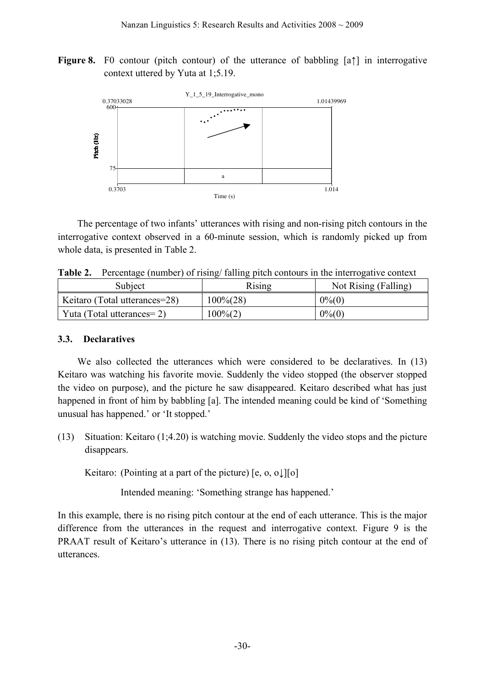**Figure 8.** F0 contour (pitch contour) of the utterance of babbling [a↑] in interrogative context uttered by Yuta at 1;5.19.



The percentage of two infants' utterances with rising and non-rising pitch contours in the interrogative context observed in a 60-minute session, which is randomly picked up from whole data, is presented in Table 2.

**Table 2.** Percentage (number) of rising/ falling pitch contours in the interrogative context

| Subject                       | Rising                | Not Rising (Falling) |  |
|-------------------------------|-----------------------|----------------------|--|
| Keitaro (Total utterances=28) | $100\frac{3}{2}$ (28) | $0\%$ (0)            |  |
| Yuta (Total utterances=2)     | $100\%(2)$            | $0\%$ (0)            |  |

## **3.3. Declaratives**

We also collected the utterances which were considered to be declaratives. In (13) Keitaro was watching his favorite movie. Suddenly the video stopped (the observer stopped the video on purpose), and the picture he saw disappeared. Keitaro described what has just happened in front of him by babbling [a]. The intended meaning could be kind of 'Something unusual has happened.' or 'It stopped.'

(13) Situation: Keitaro (1;4.20) is watching movie. Suddenly the video stops and the picture disappears.

Keitaro: (Pointing at a part of the picture)  $[e, 0, 0, 1][0]$ 

Intended meaning: 'Something strange has happened.'

In this example, there is no rising pitch contour at the end of each utterance. This is the major difference from the utterances in the request and interrogative context. Figure 9 is the PRAAT result of Keitaro's utterance in (13). There is no rising pitch contour at the end of utterances.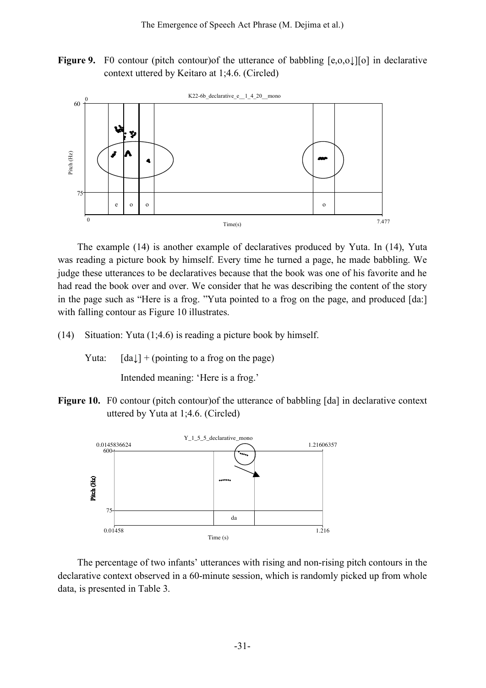**Figure 9.** F0 contour (pitch contour) of the utterance of babbling  $[e, o, o]$ [o] in declarative context uttered by Keitaro at 1;4.6. (Circled)



The example (14) is another example of declaratives produced by Yuta. In (14), Yuta was reading a picture book by himself. Every time he turned a page, he made babbling. We judge these utterances to be declaratives because that the book was one of his favorite and he had read the book over and over. We consider that he was describing the content of the story in the page such as "Here is a frog. "Yuta pointed to a frog on the page, and produced [da:] with falling contour as Figure 10 illustrates.

- (14) Situation: Yuta (1;4.6) is reading a picture book by himself.
	- Yuta:  $[da \downarrow] + (pointing to a frog on the page)$

Intended meaning: 'Here is a frog.'

**Figure 10.** F0 contour (pitch contour)of the utterance of babbling [da] in declarative context uttered by Yuta at 1;4.6. (Circled)



The percentage of two infants' utterances with rising and non-rising pitch contours in the declarative context observed in a 60-minute session, which is randomly picked up from whole data, is presented in Table 3.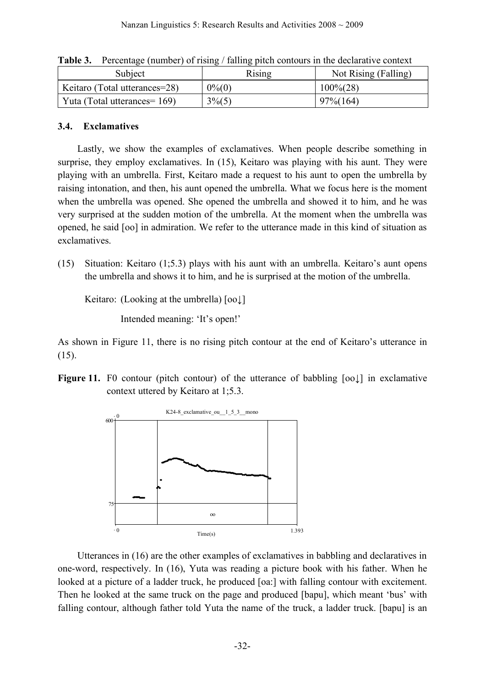| Twele of the context (mandel) of Home, and the context of the accumulity content |                |                      |  |  |  |
|----------------------------------------------------------------------------------|----------------|----------------------|--|--|--|
| Subject                                                                          | Rising         | Not Rising (Falling) |  |  |  |
| Keitaro (Total utterances=28)                                                    | $0\%$ (0)      | $100\frac{6}{28}$    |  |  |  |
| Yuta (Total utterances = 169)                                                    | $3\frac{6}{5}$ | $97\% (164)$         |  |  |  |

**Table 3.** Percentage (number) of rising / falling pitch contours in the declarative context

## **3.4. Exclamatives**

Lastly, we show the examples of exclamatives. When people describe something in surprise, they employ exclamatives. In (15), Keitaro was playing with his aunt. They were playing with an umbrella. First, Keitaro made a request to his aunt to open the umbrella by raising intonation, and then, his aunt opened the umbrella. What we focus here is the moment when the umbrella was opened. She opened the umbrella and showed it to him, and he was very surprised at the sudden motion of the umbrella. At the moment when the umbrella was opened, he said [oo] in admiration. We refer to the utterance made in this kind of situation as exclamatives.

(15) Situation: Keitaro (1;5.3) plays with his aunt with an umbrella. Keitaro's aunt opens the umbrella and shows it to him, and he is surprised at the motion of the umbrella.

Keitaro: (Looking at the umbrella) [oo↓]

Intended meaning: 'It's open!'

As shown in Figure 11, there is no rising pitch contour at the end of Keitaro's utterance in (15).

**Figure** 11. F0 contour (pitch contour) of the utterance of babbling  $[oo]$  in exclamative context uttered by Keitaro at 1;5.3.



Utterances in (16) are the other examples of exclamatives in babbling and declaratives in one-word, respectively. In (16), Yuta was reading a picture book with his father. When he looked at a picture of a ladder truck, he produced [oa:] with falling contour with excitement. Then he looked at the same truck on the page and produced [bapu], which meant 'bus' with falling contour, although father told Yuta the name of the truck, a ladder truck. [bapu] is an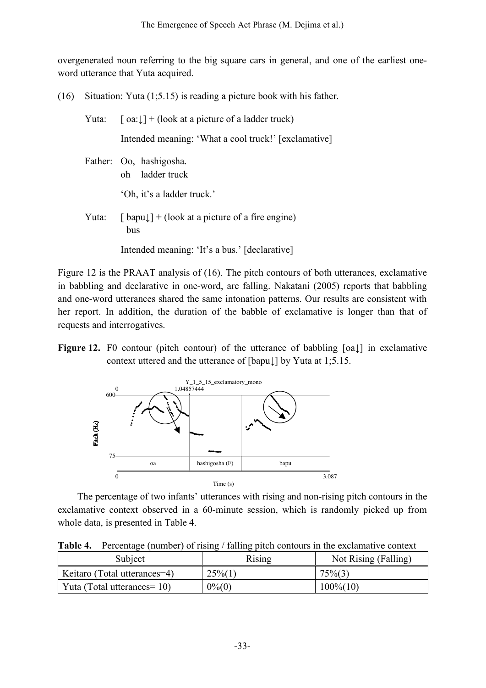overgenerated noun referring to the big square cars in general, and one of the earliest oneword utterance that Yuta acquired.

(16) Situation: Yuta (1;5.15) is reading a picture book with his father.

| Yuta: | $\lceil$ oa: $\downarrow$ ] + (look at a picture of a ladder truck)      |  |  |
|-------|--------------------------------------------------------------------------|--|--|
|       | Intended meaning: 'What a cool truck!' [exclamative]                     |  |  |
|       | Father: Oo, hashigosha.<br>oh ladder truck                               |  |  |
|       | 'Oh, it's a ladder truck.'                                               |  |  |
| Yuta: | $\lceil$ bapu $\downarrow$ + (look at a picture of a fire engine)<br>bus |  |  |
|       | Intended meaning: 'It's a bus.' [declarative]                            |  |  |

Figure 12 is the PRAAT analysis of (16). The pitch contours of both utterances, exclamative in babbling and declarative in one-word, are falling. Nakatani (2005) reports that babbling and one-word utterances shared the same intonation patterns. Our results are consistent with her report. In addition, the duration of the babble of exclamative is longer than that of requests and interrogatives.

**Figure 12.** F0 contour (pitch contour) of the utterance of babbling [oa↓] in exclamative context uttered and the utterance of [bapu↓] by Yuta at 1;5.15.



The percentage of two infants' utterances with rising and non-rising pitch contours in the exclamative context observed in a 60-minute session, which is randomly picked up from whole data, is presented in Table 4.

**Table 4.** Percentage (number) of rising / falling pitch contours in the exclamative context

| Subject                         | Rising     | Not Rising (Falling) |  |
|---------------------------------|------------|----------------------|--|
| Keitaro (Total utterances=4)    | $25\%$ (1) | $75\%(3)$            |  |
| Yuta (Total utterances = $10$ ) | $0\%$ (0)  | $100\% (10)$         |  |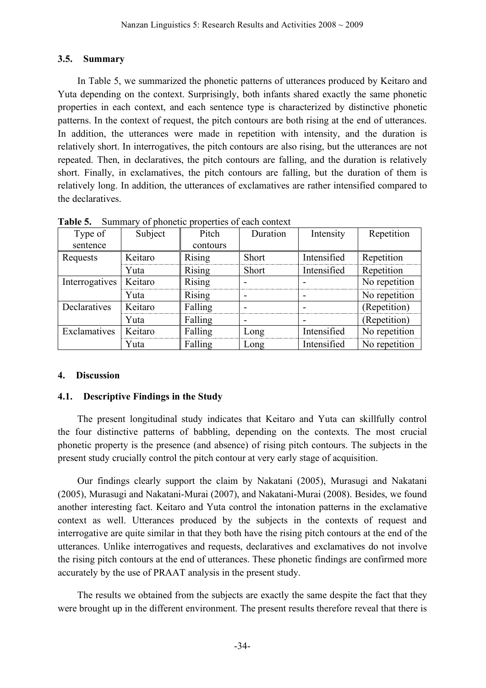# **3.5. Summary**

In Table 5, we summarized the phonetic patterns of utterances produced by Keitaro and Yuta depending on the context. Surprisingly, both infants shared exactly the same phonetic properties in each context, and each sentence type is characterized by distinctive phonetic patterns. In the context of request, the pitch contours are both rising at the end of utterances. In addition, the utterances were made in repetition with intensity, and the duration is relatively short. In interrogatives, the pitch contours are also rising, but the utterances are not repeated. Then, in declaratives, the pitch contours are falling, and the duration is relatively short. Finally, in exclamatives, the pitch contours are falling, but the duration of them is relatively long. In addition, the utterances of exclamatives are rather intensified compared to the declaratives.

| Type of        | Subject | Pitch         | Duration     | Intensity   | Repetition    |
|----------------|---------|---------------|--------------|-------------|---------------|
| sentence       |         | contours      |              |             |               |
| Requests       | Keitaro | Rising        | <b>Short</b> | Intensified | Repetition    |
|                | Yuta    | Rising        | Short        | Intensified | Repetition    |
| Interrogatives | Keitaro | Rising        |              |             | No repetition |
|                | Yuta    | <b>Rising</b> |              |             | No repetition |
| Declaratives   | Keitaro | Falling       |              |             | (Repetition)  |
|                | Yuta    | Falling       |              |             | (Repetition)  |
| Exclamatives   | Keitaro | Falling       | Long         | Intensified | No repetition |
|                | Yuta    | Falling       | Long         | Intensified | No repetition |

**Table 5.** Summary of phonetic properties of each context

# **4. Discussion**

## **4.1. Descriptive Findings in the Study**

The present longitudinal study indicates that Keitaro and Yuta can skillfully control the four distinctive patterns of babbling, depending on the contexts. The most crucial phonetic property is the presence (and absence) of rising pitch contours. The subjects in the present study crucially control the pitch contour at very early stage of acquisition.

Our findings clearly support the claim by Nakatani (2005), Murasugi and Nakatani (2005), Murasugi and Nakatani-Murai (2007), and Nakatani-Murai (2008). Besides, we found another interesting fact. Keitaro and Yuta control the intonation patterns in the exclamative context as well. Utterances produced by the subjects in the contexts of request and interrogative are quite similar in that they both have the rising pitch contours at the end of the utterances. Unlike interrogatives and requests, declaratives and exclamatives do not involve the rising pitch contours at the end of utterances. These phonetic findings are confirmed more accurately by the use of PRAAT analysis in the present study.

The results we obtained from the subjects are exactly the same despite the fact that they were brought up in the different environment. The present results therefore reveal that there is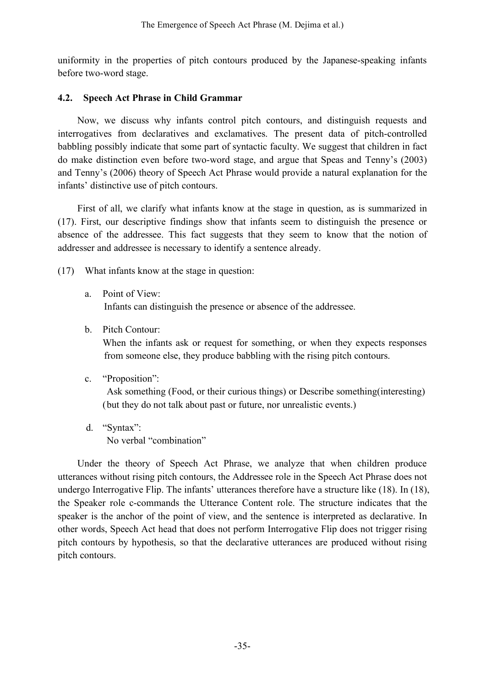uniformity in the properties of pitch contours produced by the Japanese-speaking infants before two-word stage.

## **4.2. Speech Act Phrase in Child Grammar**

Now, we discuss why infants control pitch contours, and distinguish requests and interrogatives from declaratives and exclamatives. The present data of pitch-controlled babbling possibly indicate that some part of syntactic faculty. We suggest that children in fact do make distinction even before two-word stage, and argue that Speas and Tenny's (2003) and Tenny's (2006) theory of Speech Act Phrase would provide a natural explanation for the infants' distinctive use of pitch contours.

First of all, we clarify what infants know at the stage in question, as is summarized in (17). First, our descriptive findings show that infants seem to distinguish the presence or absence of the addressee. This fact suggests that they seem to know that the notion of addresser and addressee is necessary to identify a sentence already.

(17) What infants know at the stage in question:

a. Point of View:

Infants can distinguish the presence or absence of the addressee.

b. Pitch Contour:

When the infants ask or request for something, or when they expects responses from someone else, they produce babbling with the rising pitch contours.

c. "Proposition":

Ask something (Food, or their curious things) or Describe something(interesting) (but they do not talk about past or future, nor unrealistic events.)

d. "Syntax": No verbal "combination"

Under the theory of Speech Act Phrase, we analyze that when children produce utterances without rising pitch contours, the Addressee role in the Speech Act Phrase does not undergo Interrogative Flip. The infants' utterances therefore have a structure like (18). In (18), the Speaker role c-commands the Utterance Content role. The structure indicates that the speaker is the anchor of the point of view, and the sentence is interpreted as declarative. In other words, Speech Act head that does not perform Interrogative Flip does not trigger rising pitch contours by hypothesis, so that the declarative utterances are produced without rising pitch contours.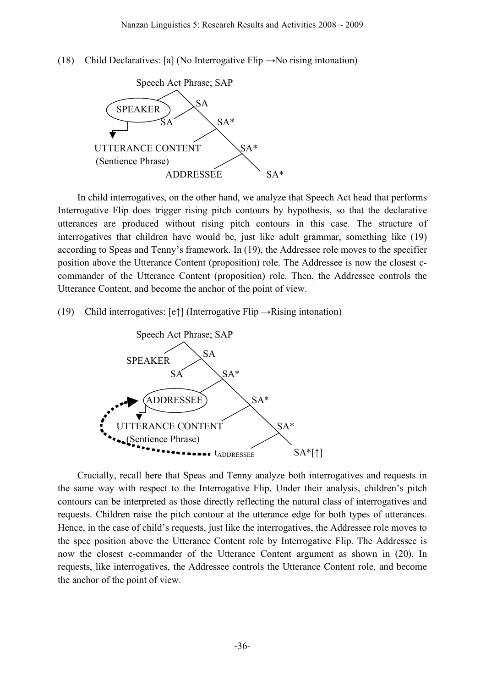(18) Child Declaratives: [a] (No Interrogative Flip  $\rightarrow$ No rising intonation)



In child interrogatives, on the other hand, we analyze that Speech Act head that performs Interrogative Flip does trigger rising pitch contours by hypothesis, so that the declarative utterances are produced without rising pitch contours in this case. The structure of interrogatives that children have would be, just like adult grammar, something like (19) according to Speas and Tenny's framework. In (19), the Addressee role moves to the specifier position above the Utterance Content (proposition) role. The Addressee is now the closest ccommander of the Utterance Content (proposition) role. Then, the Addressee controls the Utterance Content, and become the anchor of the point of view.

(19) Child interrogatives:  $[e \uparrow]$  (Interrogative Flip  $\rightarrow$ Rising intonation)



Crucially, recall here that Speas and Tenny analyze both interrogatives and requests in the same way with respect to the Interrogative Flip. Under their analysis, children's pitch contours can be interpreted as those directly reflecting the natural class of interrogatives and requests. Children raise the pitch contour at the utterance edge for both types of utterances. Hence, in the case of child's requests, just like the interrogatives, the Addressee role moves to the spec position above the Utterance Content role by Interrogative Flip. The Addressee is now the closest c-commander of the Utterance Content argument as shown in (20). In requests, like interrogatives, the Addressee controls the Utterance Content role, and become the anchor of the point of view.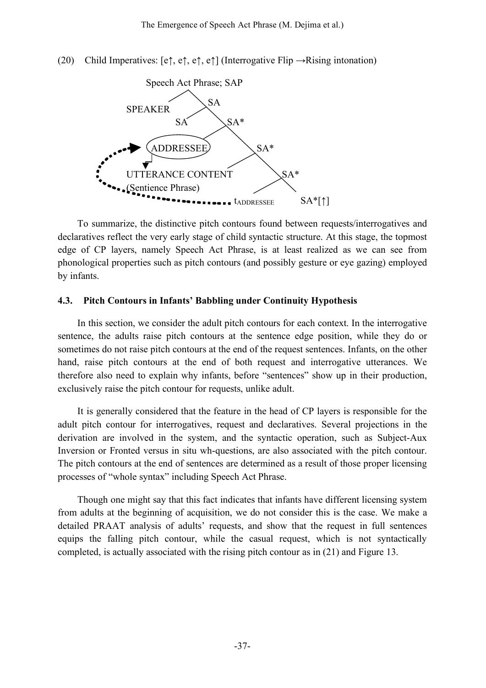(20) Child Imperatives:  $[e\uparrow, e\uparrow, e\uparrow]$  (Interrogative Flip  $\rightarrow$ Rising intonation)



To summarize, the distinctive pitch contours found between requests/interrogatives and declaratives reflect the very early stage of child syntactic structure. At this stage, the topmost edge of CP layers, namely Speech Act Phrase, is at least realized as we can see from phonological properties such as pitch contours (and possibly gesture or eye gazing) employed by infants.

#### **4.3. Pitch Contours in Infants' Babbling under Continuity Hypothesis**

In this section, we consider the adult pitch contours for each context. In the interrogative sentence, the adults raise pitch contours at the sentence edge position, while they do or sometimes do not raise pitch contours at the end of the request sentences. Infants, on the other hand, raise pitch contours at the end of both request and interrogative utterances. We therefore also need to explain why infants, before "sentences" show up in their production, exclusively raise the pitch contour for requests, unlike adult.

It is generally considered that the feature in the head of CP layers is responsible for the adult pitch contour for interrogatives, request and declaratives. Several projections in the derivation are involved in the system, and the syntactic operation, such as Subject-Aux Inversion or Fronted versus in situ wh-questions, are also associated with the pitch contour. The pitch contours at the end of sentences are determined as a result of those proper licensing processes of "whole syntax" including Speech Act Phrase.

Though one might say that this fact indicates that infants have different licensing system from adults at the beginning of acquisition, we do not consider this is the case. We make a detailed PRAAT analysis of adults' requests, and show that the request in full sentences equips the falling pitch contour, while the casual request, which is not syntactically completed, is actually associated with the rising pitch contour as in (21) and Figure 13.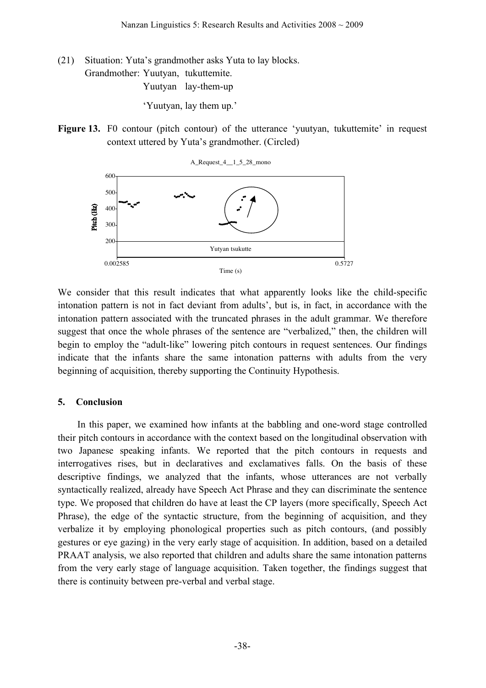(21) Situation: Yuta's grandmother asks Yuta to lay blocks.

Grandmother: Yuutyan, tukuttemite.

Yuutyan lay-them-up

'Yuutyan, lay them up.'

**Figure 13.** F0 contour (pitch contour) of the utterance 'yuutyan, tukuttemite' in request context uttered by Yuta's grandmother. (Circled)



We consider that this result indicates that what apparently looks like the child-specific intonation pattern is not in fact deviant from adults', but is, in fact, in accordance with the intonation pattern associated with the truncated phrases in the adult grammar. We therefore suggest that once the whole phrases of the sentence are "verbalized," then, the children will begin to employ the "adult-like" lowering pitch contours in request sentences. Our findings indicate that the infants share the same intonation patterns with adults from the very beginning of acquisition, thereby supporting the Continuity Hypothesis.

## **5. Conclusion**

In this paper, we examined how infants at the babbling and one-word stage controlled their pitch contours in accordance with the context based on the longitudinal observation with two Japanese speaking infants. We reported that the pitch contours in requests and interrogatives rises, but in declaratives and exclamatives falls. On the basis of these descriptive findings, we analyzed that the infants, whose utterances are not verbally syntactically realized, already have Speech Act Phrase and they can discriminate the sentence type. We proposed that children do have at least the CP layers (more specifically, Speech Act Phrase), the edge of the syntactic structure, from the beginning of acquisition, and they verbalize it by employing phonological properties such as pitch contours, (and possibly gestures or eye gazing) in the very early stage of acquisition. In addition, based on a detailed PRAAT analysis, we also reported that children and adults share the same intonation patterns from the very early stage of language acquisition. Taken together, the findings suggest that there is continuity between pre-verbal and verbal stage.